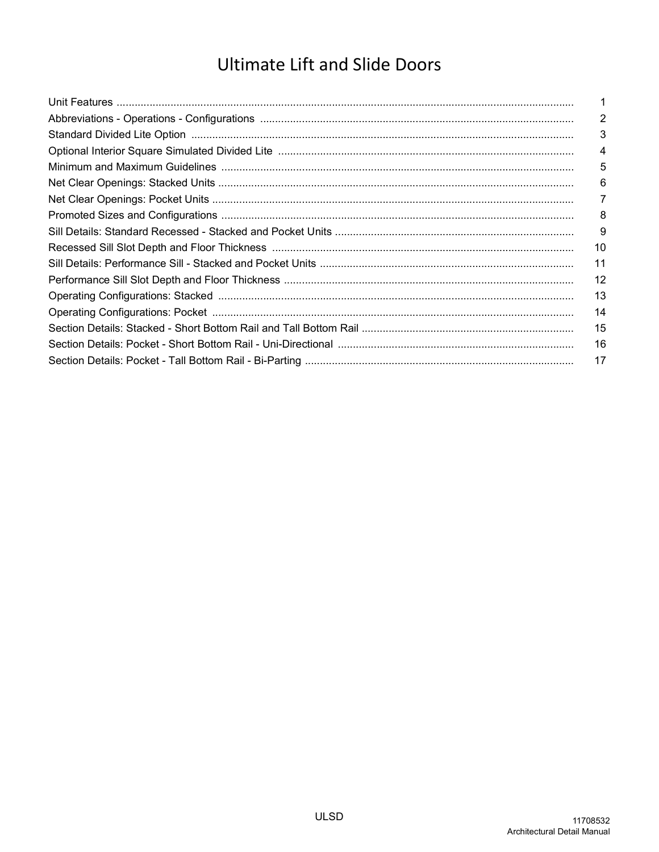# **Ultimate Lift and Slide Doors**

| $\overline{2}$ |
|----------------|
| 3              |
| 4              |
| 5              |
| 6              |
| 7              |
| 8              |
| 9              |
| 10             |
| 11             |
| 12             |
| 13             |
| 14             |
| 15             |
| 16             |
| 17             |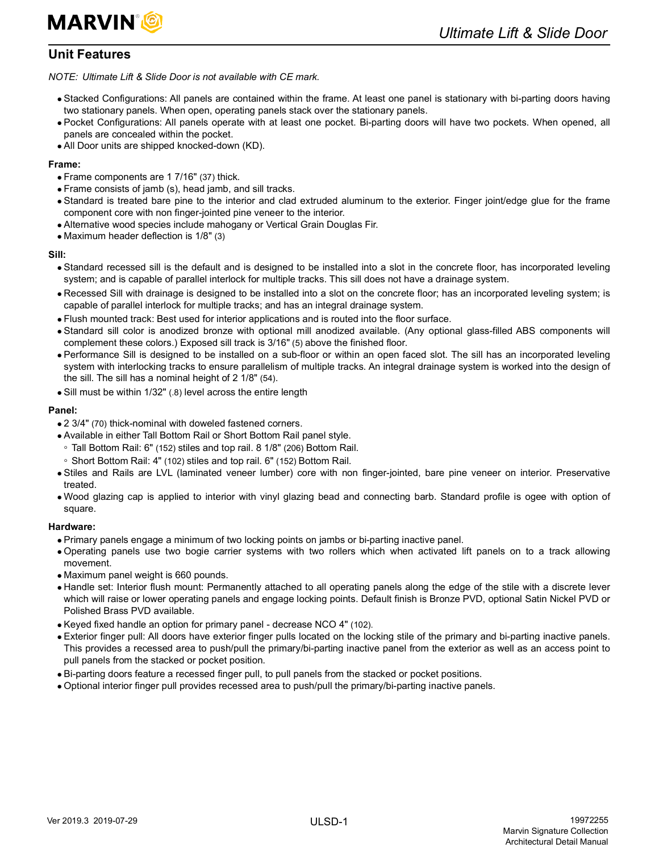

# <span id="page-2-0"></span>**Unit Features**

*NOTE: Ultimate Lift & Slide Door is not available with CE mark.*

- Stacked Configurations: All panels are contained within the frame. At least one panel is stationary with bi-parting doors having two stationary panels. When open, operating panels stack over the stationary panels.
- Pocket Configurations: All panels operate with at least one pocket. Bi-parting doors will have two pockets. When opened, all panels are concealed within the pocket.
- All Door units are shipped knocked-down (KD).

## **Frame:**

- Frame components are 1 7/16" (37) thick.
- Frame consists of jamb (s), head jamb, and sill tracks.
- Standard is treated bare pine to the interior and clad extruded aluminum to the exterior. Finger joint/edge glue for the frame component core with non finger-jointed pine veneer to the interior.
- Alternative wood species include mahogany or Vertical Grain Douglas Fir.
- Maximum header deflection is 1/8" (3)

## **Sill:**

- Standard recessed sill is the default and is designed to be installed into a slot in the concrete floor, has incorporated leveling system; and is capable of parallel interlock for multiple tracks. This sill does not have a drainage system.
- Recessed Sill with drainage is designed to be installed into a slot on the concrete floor; has an incorporated leveling system; is capable of parallel interlock for multiple tracks; and has an integral drainage system.
- Flush mounted track: Best used for interior applications and is routed into the floor surface.
- Standard sill color is anodized bronze with optional mill anodized available. (Any optional glass-filled ABS components will complement these colors.) Exposed sill track is 3/16" (5) above the finished floor.
- Performance Sill is designed to be installed on a sub-floor or within an open faced slot. The sill has an incorporated leveling system with interlocking tracks to ensure parallelism of multiple tracks. An integral drainage system is worked into the design of the sill. The sill has a nominal height of 2 1/8" (54).
- Sill must be within 1/32" (.8) level across the entire length

## **Panel:**

- 2 3/4" (70) thick-nominal with doweled fastened corners.
- Available in either Tall Bottom Rail or Short Bottom Rail panel style.
- Tall Bottom Rail: 6" (152) stiles and top rail. 8 1/8" (206) Bottom Rail.
- Short Bottom Rail: 4" (102) stiles and top rail. 6" (152) Bottom Rail.
- Stiles and Rails are LVL (laminated veneer lumber) core with non finger-jointed, bare pine veneer on interior. Preservative treated.
- Wood glazing cap is applied to interior with vinyl glazing bead and connecting barb. Standard profile is ogee with option of square.

## **Hardware:**

- Primary panels engage a minimum of two locking points on jambs or bi-parting inactive panel.
- Operating panels use two bogie carrier systems with two rollers which when activated lift panels on to a track allowing movement.
- Maximum panel weight is 660 pounds.
- Handle set: Interior flush mount: Permanently attached to all operating panels along the edge of the stile with a discrete lever which will raise or lower operating panels and engage locking points. Default finish is Bronze PVD, optional Satin Nickel PVD or Polished Brass PVD available.
- Keyed fixed handle an option for primary panel decrease NCO 4" (102).
- Exterior finger pull: All doors have exterior finger pulls located on the locking stile of the primary and bi-parting inactive panels. This provides a recessed area to push/pull the primary/bi-parting inactive panel from the exterior as well as an access point to pull panels from the stacked or pocket position.
- Bi-parting doors feature a recessed finger pull, to pull panels from the stacked or pocket positions.
- Optional interior finger pull provides recessed area to push/pull the primary/bi-parting inactive panels.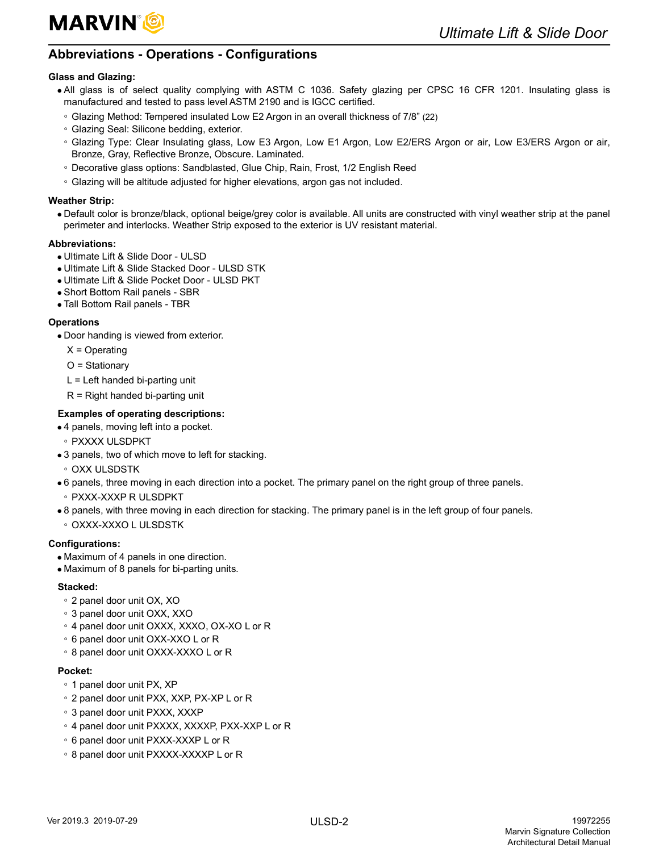

# <span id="page-3-0"></span>**Abbreviations - Operations - Configurations**

## **Glass and Glazing:**

- All glass is of select quality complying with ASTM C 1036. Safety glazing per CPSC 16 CFR 1201. Insulating glass is manufactured and tested to pass level ASTM 2190 and is IGCC certified.
- Glazing Method: Tempered insulated Low E2 Argon in an overall thickness of 7/8" (22)
- Glazing Seal: Silicone bedding, exterior.
- Glazing Type: Clear Insulating glass, Low E3 Argon, Low E1 Argon, Low E2/ERS Argon or air, Low E3/ERS Argon or air, Bronze, Gray, Reflective Bronze, Obscure. Laminated.
- Decorative glass options: Sandblasted, Glue Chip, Rain, Frost, 1/2 English Reed
- Glazing will be altitude adjusted for higher elevations, argon gas not included.

## **Weather Strip:**

 Default color is bronze/black, optional beige/grey color is available. All units are constructed with vinyl weather strip at the panel perimeter and interlocks. Weather Strip exposed to the exterior is UV resistant material.

## **Abbreviations:**

- Ultimate Lift & Slide Door ULSD
- Ultimate Lift & Slide Stacked Door ULSD STK
- Ultimate Lift & Slide Pocket Door ULSD PKT
- Short Bottom Rail panels SBR
- Tall Bottom Rail panels TBR

## **Operations**

Door handing is viewed from exterior.

- $X =$ Operating
- O = Stationary
- $L =$  Left handed bi-parting unit
- $R =$  Right handed bi-parting unit

## **Examples of operating descriptions:**

- 4 panels, moving left into a pocket.
- PXXXX ULSDPKT
- 3 panels, two of which move to left for stacking.
- OXX ULSDSTK
- 6 panels, three moving in each direction into a pocket. The primary panel on the right group of three panels.
- PXXX-XXXP R ULSDPKT
- 8 panels, with three moving in each direction for stacking. The primary panel is in the left group of four panels.
- OXXX-XXXO L ULSDSTK

## **Configurations:**

- Maximum of 4 panels in one direction.
- Maximum of 8 panels for bi-parting units.

## **Stacked:**

- 2 panel door unit OX, XO
- 3 panel door unit OXX, XXO
- 4 panel door unit OXXX, XXXO, OX-XO L or R
- 6 panel door unit OXX-XXO L or R
- 8 panel door unit OXXX-XXXO L or R

## **Pocket:**

- 1 panel door unit PX, XP
- 2 panel door unit PXX, XXP, PX-XP L or R
- 3 panel door unit PXXX, XXXP
- 4 panel door unit PXXXX, XXXXP, PXX-XXP L or R
- 6 panel door unit PXXX-XXXP L or R
- 8 panel door unit PXXXX-XXXXP L or R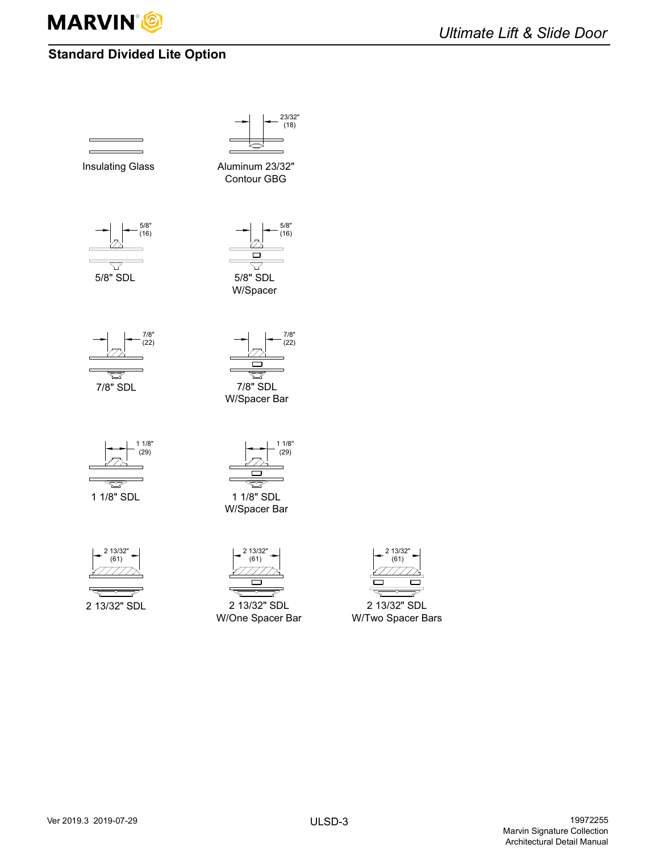

# <span id="page-4-0"></span>**Standard Divided Lite Option**







2 13/32  $(61)$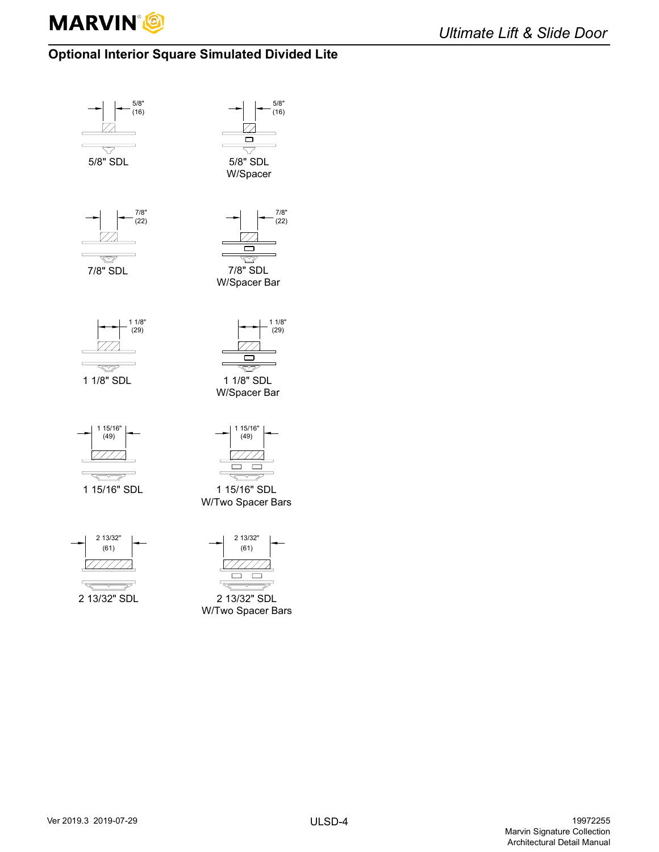

# <span id="page-5-0"></span>**Optional Interior Square Simulated Divided Lite**

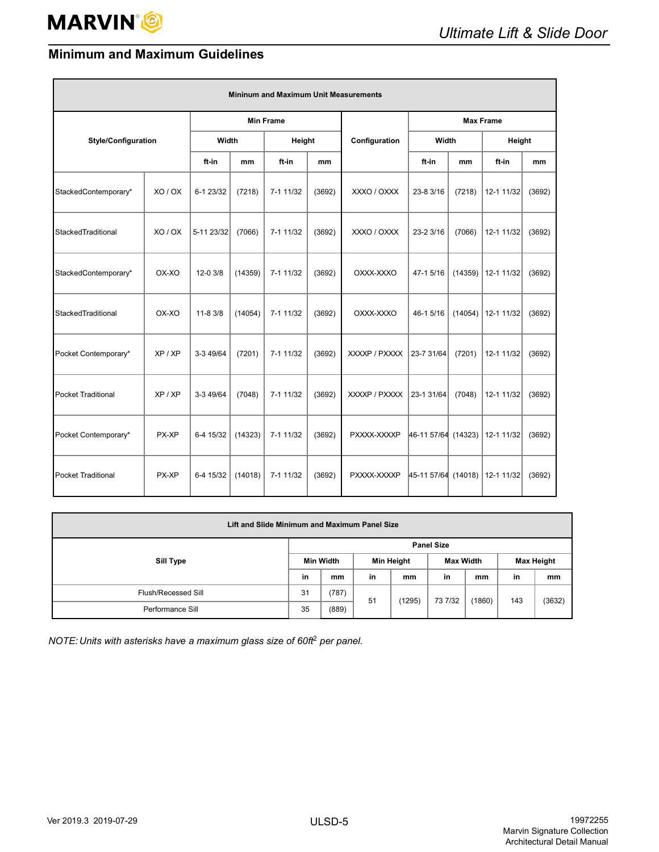E

# <span id="page-6-0"></span>**Minimum and Maximum Guidelines**

| <b>Mininum and Maximum Unit Measurements</b> |         |                  |         |           |        |               |                     |         |            |        |
|----------------------------------------------|---------|------------------|---------|-----------|--------|---------------|---------------------|---------|------------|--------|
|                                              |         | <b>Min Frame</b> |         |           |        |               | <b>Max Frame</b>    |         |            |        |
| <b>Style/Configuration</b>                   |         | Width            |         | Height    |        | Configuration | Width               |         | Height     |        |
|                                              |         | ft-in            | mm      | ft-in     | mm     |               | ft-in               | mm      | ft-in      | mm     |
| StackedContemporary*                         | XO / OX | 6-1 23/32        | (7218)  | 7-1 11/32 | (3692) | XXXO / OXXX   | 23-8 3/16           | (7218)  | 12-1 11/32 | (3692) |
| StackedTraditional                           | XO/OX   | 5-11 23/32       | (7066)  | 7-1 11/32 | (3692) | XXXO / OXXX   | 23-2 3/16           | (7066)  | 12-1 11/32 | (3692) |
| StackedContemporary*                         | OX-XO   | 12-0 3/8         | (14359) | 7-1 11/32 | (3692) | OXXX-XXXO     | 47-1 5/16           | (14359) | 12-1 11/32 | (3692) |
| StackedTraditional                           | OX-XO   | $11 - 83/8$      | (14054) | 7-1 11/32 | (3692) | OXXX-XXXO     | 46-1 5/16           | (14054) | 12-1 11/32 | (3692) |
| Pocket Contemporary*                         | XP / XP | 3-3 49/64        | (7201)  | 7-1 11/32 | (3692) | XXXXP / PXXXX | 23-7 31/64          | (7201)  | 12-1 11/32 | (3692) |
| <b>Pocket Traditional</b>                    | XP / XP | 3-3 49/64        | (7048)  | 7-1 11/32 | (3692) | XXXXP / PXXXX | 23-1 31/64          | (7048)  | 12-1 11/32 | (3692) |
| Pocket Contemporary*                         | PX-XP   | 6-4 15/32        | (14323) | 7-1 11/32 | (3692) | PXXXX-XXXXP   | 46-11 57/64 (14323) |         | 12-1 11/32 | (3692) |
| <b>Pocket Traditional</b>                    | PX-XP   | 6-4 15/32        | (14018) | 7-1 11/32 | (3692) | PXXXX-XXXXP   | 45-11 57/64 (14018) |         | 12-1 11/32 | (3692) |

| Lift and Slide Minimum and Maximum Panel Size |    |                   |    |            |         |                  |     |                   |  |  |  |
|-----------------------------------------------|----|-------------------|----|------------|---------|------------------|-----|-------------------|--|--|--|
| Sill Type                                     |    | <b>Panel Size</b> |    |            |         |                  |     |                   |  |  |  |
|                                               |    | <b>Min Width</b>  |    | Min Height |         | <b>Max Width</b> |     | <b>Max Height</b> |  |  |  |
|                                               |    | mm                | in | mm         | in      | mm               | in  | mm                |  |  |  |
| Flush/Recessed Sill                           | 31 | (787)             |    |            |         |                  |     |                   |  |  |  |
| Performance Sill                              |    | (889)             | 51 | (1295)     | 73 7/32 | (1860)           | 143 | (3632)            |  |  |  |

*NOTE: Units with asterisks have a maximum glass size of 60ft*2 *per panel.*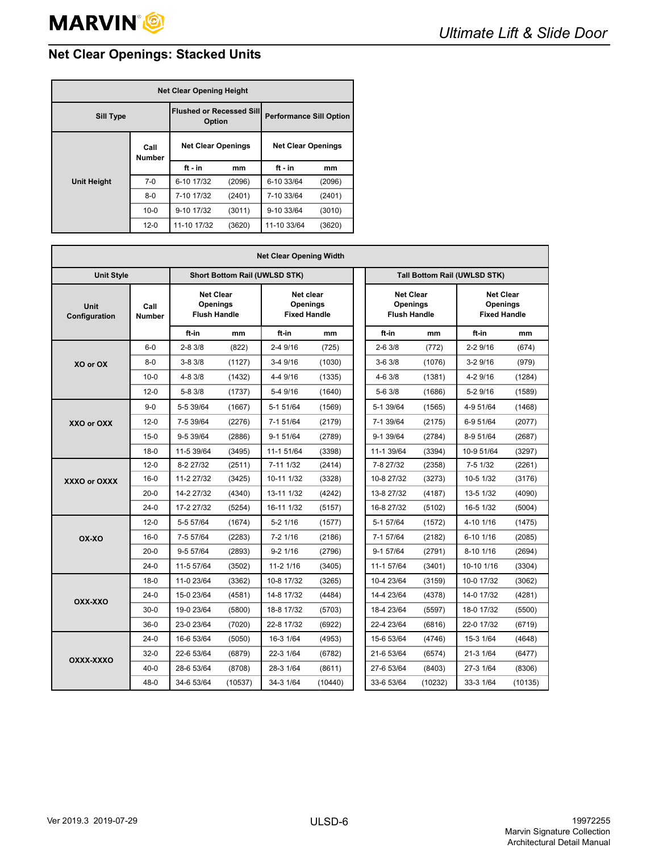# <span id="page-7-0"></span>**Net Clear Openings: Stacked Units**

| <b>Net Clear Opening Height</b> |                                           |                           |                                |                           |        |  |  |  |
|---------------------------------|-------------------------------------------|---------------------------|--------------------------------|---------------------------|--------|--|--|--|
| <b>Sill Type</b>                | <b>Flushed or Recessed Sill</b><br>Option |                           | <b>Performance Sill Option</b> |                           |        |  |  |  |
|                                 | Call<br><b>Number</b>                     | <b>Net Clear Openings</b> |                                | <b>Net Clear Openings</b> |        |  |  |  |
|                                 |                                           | $ft - in$                 | mm                             | $ft - in$                 | mm     |  |  |  |
| <b>Unit Height</b>              | $7-0$                                     | 6-10 17/32                | (2096)                         | 6-10 33/64                | (2096) |  |  |  |
|                                 | $8-0$                                     | 7-10 17/32                | (2401)                         | 7-10 33/64                | (2401) |  |  |  |
|                                 | $10 - 0$                                  | 9-10 17/32                | (3011)                         | 9-10 33/64                | (3010) |  |  |  |
|                                 | $12 - 0$                                  | 11-10 17/32               | (3620)                         | 11-10 33/64               | (3620) |  |  |  |

| <b>Net Clear Opening Width</b> |                                                                              |            |         |                                      |                                                     |  |                                                     |                              |                                                            |         |  |
|--------------------------------|------------------------------------------------------------------------------|------------|---------|--------------------------------------|-----------------------------------------------------|--|-----------------------------------------------------|------------------------------|------------------------------------------------------------|---------|--|
| <b>Unit Style</b>              |                                                                              |            |         | <b>Short Bottom Rail (UWLSD STK)</b> |                                                     |  |                                                     | Tall Bottom Rail (UWLSD STK) |                                                            |         |  |
| Unit<br>Configuration          | <b>Net Clear</b><br>Openings<br>Call<br><b>Flush Handle</b><br><b>Number</b> |            |         |                                      | Net clear<br><b>Openings</b><br><b>Fixed Handle</b> |  | <b>Net Clear</b><br>Openings<br><b>Flush Handle</b> |                              | <b>Net Clear</b><br><b>Openings</b><br><b>Fixed Handle</b> |         |  |
|                                |                                                                              | ft-in      | mm      | ft-in                                | mm                                                  |  | ft-in                                               | mm                           | ft-in                                                      | mm      |  |
|                                | $6-0$                                                                        | 2-8 3/8    | (822)   | 2-4 9/16                             | (725)                                               |  | $2 - 63/8$                                          | (772)                        | 2-2 9/16                                                   | (674)   |  |
| XO or OX                       | $8-0$                                                                        | $3 - 83/8$ | (1127)  | 3-4 9/16                             | (1030)                                              |  | $3-63/8$                                            | (1076)                       | $3-29/16$                                                  | (979)   |  |
|                                | $10 - 0$                                                                     | $4 - 83/8$ | (1432)  | 4-4 9/16                             | (1335)                                              |  | $4 - 63/8$                                          | (1381)                       | 4-2 9/16                                                   | (1284)  |  |
|                                | $12 - 0$                                                                     | $5 - 83/8$ | (1737)  | 5-4 9/16                             | (1640)                                              |  | $5 - 63/8$                                          | (1686)                       | 5-2 9/16                                                   | (1589)  |  |
|                                | $9 - 0$                                                                      | 5-5 39/64  | (1667)  | 5-1 51/64                            | (1569)                                              |  | 5-1 39/64                                           | (1565)                       | 4-9 51/64                                                  | (1468)  |  |
| XXO or OXX                     | $12 - 0$                                                                     | 7-5 39/64  | (2276)  | 7-1 51/64                            | (2179)                                              |  | 7-1 39/64                                           | (2175)                       | 6-9 51/64                                                  | (2077)  |  |
|                                | $15-0$                                                                       | 9-5 39/64  | (2886)  | 9-1 51/64                            | (2789)                                              |  | 9-1 39/64                                           | (2784)                       | 8-9 51/64                                                  | (2687)  |  |
|                                | $18-0$                                                                       | 11-5 39/64 | (3495)  | 11-1 51/64                           | (3398)                                              |  | 11-1 39/64                                          | (3394)                       | 10-9 51/64                                                 | (3297)  |  |
|                                | $12 - 0$                                                                     | 8-2 27/32  | (2511)  | 7-11 1/32                            | (2414)                                              |  | 7-8 27/32                                           | (2358)                       | 7-5 1/32                                                   | (2261)  |  |
| XXXO or OXXX                   | $16-0$                                                                       | 11-2 27/32 | (3425)  | 10-11 1/32                           | (3328)                                              |  | 10-8 27/32                                          | (3273)                       | 10-5 1/32                                                  | (3176)  |  |
|                                | $20 - 0$                                                                     | 14-2 27/32 | (4340)  | 13-11 1/32                           | (4242)                                              |  | 13-8 27/32                                          | (4187)                       | 13-5 1/32                                                  | (4090)  |  |
|                                | $24-0$                                                                       | 17-2 27/32 | (5254)  | 16-11 1/32                           | (5157)                                              |  | 16-8 27/32                                          | (5102)                       | 16-5 1/32                                                  | (5004)  |  |
|                                | $12 - 0$                                                                     | 5-5 57/64  | (1674)  | 5-2 1/16                             | (1577)                                              |  | 5-1 57/64                                           | (1572)                       | 4-10 1/16                                                  | (1475)  |  |
| OX-XO                          | $16-0$                                                                       | 7-5 57/64  | (2283)  | 7-2 1/16                             | (2186)                                              |  | 7-1 57/64                                           | (2182)                       | 6-10 1/16                                                  | (2085)  |  |
|                                | $20 - 0$                                                                     | 9-5 57/64  | (2893)  | $9-2$ 1/16                           | (2796)                                              |  | 9-1 57/64                                           | (2791)                       | 8-10 1/16                                                  | (2694)  |  |
|                                | $24-0$                                                                       | 11-5 57/64 | (3502)  | 11-2 1/16                            | (3405)                                              |  | 11-1 57/64                                          | (3401)                       | 10-10 1/16                                                 | (3304)  |  |
|                                | $18-0$                                                                       | 11-0 23/64 | (3362)  | 10-8 17/32                           | (3265)                                              |  | 10-4 23/64                                          | (3159)                       | 10-0 17/32                                                 | (3062)  |  |
| OXX-XXO                        | $24-0$                                                                       | 15-0 23/64 | (4581)  | 14-8 17/32                           | (4484)                                              |  | 14-4 23/64                                          | (4378)                       | 14-0 17/32                                                 | (4281)  |  |
|                                | $30-0$                                                                       | 19-0 23/64 | (5800)  | 18-8 17/32                           | (5703)                                              |  | 18-4 23/64                                          | (5597)                       | 18-0 17/32                                                 | (5500)  |  |
|                                | $36-0$                                                                       | 23-0 23/64 | (7020)  | 22-8 17/32                           | (6922)                                              |  | 22-4 23/64                                          | (6816)                       | 22-0 17/32                                                 | (6719)  |  |
|                                | $24-0$                                                                       | 16-6 53/64 | (5050)  | 16-3 1/64                            | (4953)                                              |  | 15-6 53/64                                          | (4746)                       | 15-3 1/64                                                  | (4648)  |  |
| OXXX-XXXO                      | $32-0$                                                                       | 22-6 53/64 | (6879)  | 22-3 1/64                            | (6782)                                              |  | 21-6 53/64                                          | (6574)                       | 21-3 1/64                                                  | (6477)  |  |
|                                | $40 - 0$                                                                     | 28-6 53/64 | (8708)  | 28-3 1/64                            | (8611)                                              |  | 27-6 53/64                                          | (8403)                       | 27-3 1/64                                                  | (8306)  |  |
|                                | $48-0$                                                                       | 34-6 53/64 | (10537) | 34-3 1/64                            | (10440)                                             |  | 33-6 53/64                                          | (10232)                      | 33-3 1/64                                                  | (10135) |  |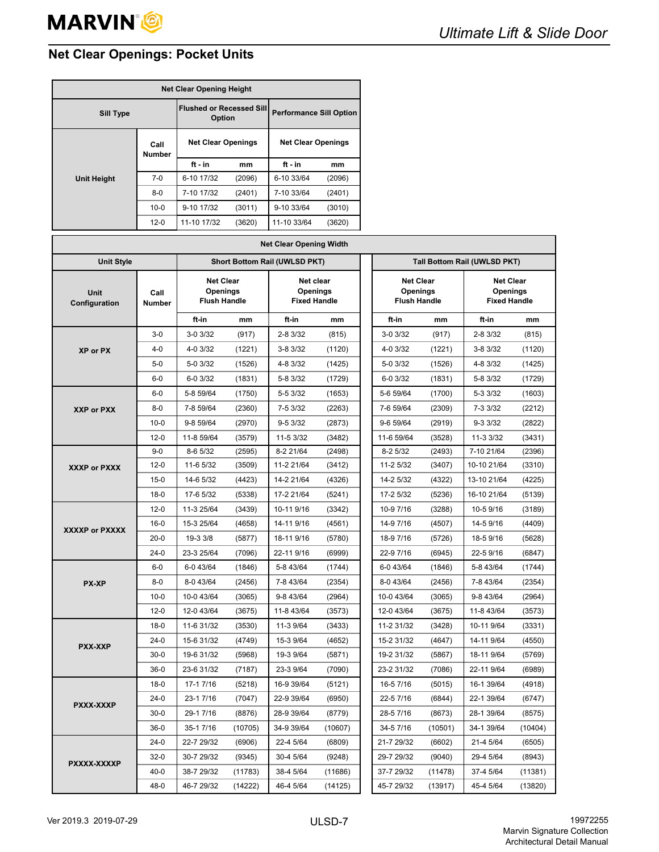# <span id="page-8-0"></span>**Net Clear Openings: Pocket Units**

| <b>Net Clear Opening Height</b> |                                           |                           |                                |                           |        |  |  |  |
|---------------------------------|-------------------------------------------|---------------------------|--------------------------------|---------------------------|--------|--|--|--|
| <b>Sill Type</b>                | <b>Flushed or Recessed Sill</b><br>Option |                           | <b>Performance Sill Option</b> |                           |        |  |  |  |
|                                 | Call<br><b>Number</b>                     | <b>Net Clear Openings</b> |                                | <b>Net Clear Openings</b> |        |  |  |  |
|                                 |                                           | $ft - in$                 | mm                             | ft - in                   | mm     |  |  |  |
| <b>Unit Height</b>              | $7-0$                                     | 6-10 17/32                | (2096)                         | 6-10 33/64                | (2096) |  |  |  |
|                                 | $8 - 0$                                   | 7-10 17/32                | (2401)                         | 7-10 33/64                | (2401) |  |  |  |
|                                 | $10 - 0$                                  | 9-10 17/32                | (3011)                         | 9-10 33/64                | (3010) |  |  |  |
|                                 | $12 - 0$                                  | 11-10 17/32               | (3620)                         | 11-10 33/64               | (3620) |  |  |  |

| <b>Net Clear Opening Width</b> |                       |            |                                                                                                                                                                          |                                      |         |                              |              |         |                                                            |         |
|--------------------------------|-----------------------|------------|--------------------------------------------------------------------------------------------------------------------------------------------------------------------------|--------------------------------------|---------|------------------------------|--------------|---------|------------------------------------------------------------|---------|
| <b>Unit Style</b>              |                       |            |                                                                                                                                                                          | <b>Short Bottom Rail (UWLSD PKT)</b> |         | Tall Bottom Rail (UWLSD PKT) |              |         |                                                            |         |
| Unit<br>Configuration          | Call<br><b>Number</b> |            | <b>Net Clear</b><br>Net clear<br><b>Net Clear</b><br><b>Openings</b><br><b>Openings</b><br>Openings<br><b>Flush Handle</b><br><b>Fixed Handle</b><br><b>Flush Handle</b> |                                      |         |                              |              |         | <b>Net Clear</b><br><b>Openings</b><br><b>Fixed Handle</b> |         |
|                                |                       | ft-in      | mm                                                                                                                                                                       | ft-in                                | mm      |                              | ft-in        | mm      | ft-in                                                      | mm      |
|                                | $3-0$                 | $3-0.3/32$ | (917)                                                                                                                                                                    | $2 - 83/32$                          | (815)   |                              | $3 - 0.3/32$ | (917)   | $2 - 83/32$                                                | (815)   |
| <b>XP or PX</b>                | $4 - 0$               | 4-0 3/32   | (1221)                                                                                                                                                                   | $3 - 83/32$                          | (1120)  |                              | 4-0 3/32     | (1221)  | 3-8 3/32                                                   | (1120)  |
|                                | $5-0$                 | 5-0 3/32   | (1526)                                                                                                                                                                   | 4-8 3/32                             | (1425)  |                              | 5-0 3/32     | (1526)  | 4-8 3/32                                                   | (1425)  |
|                                | $6-0$                 | 6-0 3/32   | (1831)                                                                                                                                                                   | 5-8 3/32                             | (1729)  |                              | 6-0 3/32     | (1831)  | 5-8 3/32                                                   | (1729)  |
|                                | $6-0$                 | 5-8 59/64  | (1750)                                                                                                                                                                   | 5-5 3/32                             | (1653)  |                              | 5-6 59/64    | (1700)  | 5-3 3/32                                                   | (1603)  |
| XXP or PXX                     | $8 - 0$               | 7-8 59/64  | (2360)                                                                                                                                                                   | 7-5 3/32                             | (2263)  |                              | 7-6 59/64    | (2309)  | 7-3 3/32                                                   | (2212)  |
|                                | $10 - 0$              | 9-8 59/64  | (2970)                                                                                                                                                                   | $9 - 53/32$                          | (2873)  |                              | 9-6 59/64    | (2919)  | 9-3 3/32                                                   | (2822)  |
|                                | $12 - 0$              | 11-8 59/64 | (3579)                                                                                                                                                                   | 11-5 3/32                            | (3482)  |                              | 11-6 59/64   | (3528)  | 11-3 3/32                                                  | (3431)  |
|                                | $9 - 0$               | 8-6 5/32   | (2595)                                                                                                                                                                   | 8-2 21/64                            | (2498)  |                              | 8-2 5/32     | (2493)  | 7-10 21/64                                                 | (2396)  |
| XXXP or PXXX                   | $12 - 0$              | 11-6 5/32  | (3509)                                                                                                                                                                   | 11-2 21/64                           | (3412)  |                              | 11-2 5/32    | (3407)  | 10-10 21/64                                                | (3310)  |
|                                | $15 - 0$              | 14-6 5/32  | (4423)                                                                                                                                                                   | 14-2 21/64                           | (4326)  |                              | 14-2 5/32    | (4322)  | 13-10 21/64                                                | (4225)  |
|                                | $18 - 0$              | 17-6 5/32  | (5338)                                                                                                                                                                   | 17-2 21/64                           | (5241)  |                              | 17-2 5/32    | (5236)  | 16-10 21/64                                                | (5139)  |
|                                | $12 - 0$              | 11-3 25/64 | (3439)                                                                                                                                                                   | 10-11 9/16                           | (3342)  |                              | 10-9 7/16    | (3288)  | 10-5 9/16                                                  | (3189)  |
| <b>XXXXP or PXXXX</b>          | $16 - 0$              | 15-3 25/64 | (4658)                                                                                                                                                                   | 14-11 9/16                           | (4561)  |                              | 14-9 7/16    | (4507)  | 14-5 9/16                                                  | (4409)  |
|                                | $20 - 0$              | 19-3 3/8   | (5877)                                                                                                                                                                   | 18-11 9/16                           | (5780)  |                              | 18-9 7/16    | (5726)  | 18-5 9/16                                                  | (5628)  |
|                                | $24-0$                | 23-3 25/64 | (7096)                                                                                                                                                                   | 22-11 9/16                           | (6999)  |                              | 22-9 7/16    | (6945)  | 22-5 9/16                                                  | (6847)  |
|                                | $6-0$                 | 6-0 43/64  | (1846)                                                                                                                                                                   | 5-8 43/64                            | (1744)  |                              | 6-0 43/64    | (1846)  | 5-8 43/64                                                  | (1744)  |
| PX-XP                          | $8 - 0$               | 8-0 43/64  | (2456)                                                                                                                                                                   | 7-8 43/64                            | (2354)  |                              | 8-0 43/64    | (2456)  | 7-8 43/64                                                  | (2354)  |
|                                | $10 - 0$              | 10-0 43/64 | (3065)                                                                                                                                                                   | 9-8 43/64                            | (2964)  |                              | 10-0 43/64   | (3065)  | 9-8 43/64                                                  | (2964)  |
|                                | $12-0$                | 12-0 43/64 | (3675)                                                                                                                                                                   | 11-8 43/64                           | (3573)  |                              | 12-0 43/64   | (3675)  | 11-8 43/64                                                 | (3573)  |
|                                | $18-0$                | 11-6 31/32 | (3530)                                                                                                                                                                   | 11-3 9/64                            | (3433)  |                              | 11-2 31/32   | (3428)  | 10-11 9/64                                                 | (3331)  |
| <b>PXX-XXP</b>                 | $24-0$                | 15-6 31/32 | (4749)                                                                                                                                                                   | 15-3 9/64                            | (4652)  |                              | 15-2 31/32   | (4647)  | 14-11 9/64                                                 | (4550)  |
|                                | $30-0$                | 19-6 31/32 | (5968)                                                                                                                                                                   | 19-3 9/64                            | (5871)  |                              | 19-2 31/32   | (5867)  | 18-11 9/64                                                 | (5769)  |
|                                | $36-0$                | 23-6 31/32 | (7187)                                                                                                                                                                   | 23-3 9/64                            | (7090)  |                              | 23-2 31/32   | (7086)  | 22-11 9/64                                                 | (6989)  |
|                                | $18 - 0$              | 17-1 7/16  | (5218)                                                                                                                                                                   | 16-9 39/64                           | (5121)  |                              | 16-5 7/16    | (5015)  | 16-1 39/64                                                 | (4918)  |
| PXXX-XXXP                      | $24-0$                | 23-17/16   | (7047)                                                                                                                                                                   | 22-9 39/64                           | (6950)  |                              | 22-5 7/16    | (6844)  | 22-1 39/64                                                 | (6747)  |
|                                | $30 - 0$              | 29-1 7/16  | (8876)                                                                                                                                                                   | 28-9 39/64                           | (8779)  |                              | 28-5 7/16    | (8673)  | 28-1 39/64                                                 | (8575)  |
|                                | $36-0$                | 35-1 7/16  | (10705)                                                                                                                                                                  | 34-9 39/64                           | (10607) |                              | 34-5 7/16    | (10501) | 34-1 39/64                                                 | (10404) |
|                                | $24-0$                | 22-7 29/32 | (6906)                                                                                                                                                                   | 22-4 5/64                            | (6809)  |                              | 21-7 29/32   | (6602)  | 21-4 5/64                                                  | (6505)  |
| PXXXX-XXXXP                    | $32-0$                | 30-7 29/32 | (9345)                                                                                                                                                                   | 30-4 5/64                            | (9248)  |                              | 29-7 29/32   | (9040)  | 29-4 5/64                                                  | (8943)  |
|                                | $40 - 0$              | 38-7 29/32 | (11783)                                                                                                                                                                  | 38-4 5/64                            | (11686) |                              | 37-7 29/32   | (11478) | 37-4 5/64                                                  | (11381) |
|                                | $48 - 0$              | 46-7 29/32 | (14222)                                                                                                                                                                  | 46-4 5/64                            | (14125) |                              | 45-7 29/32   | (13917) | 45-4 5/64                                                  | (13820) |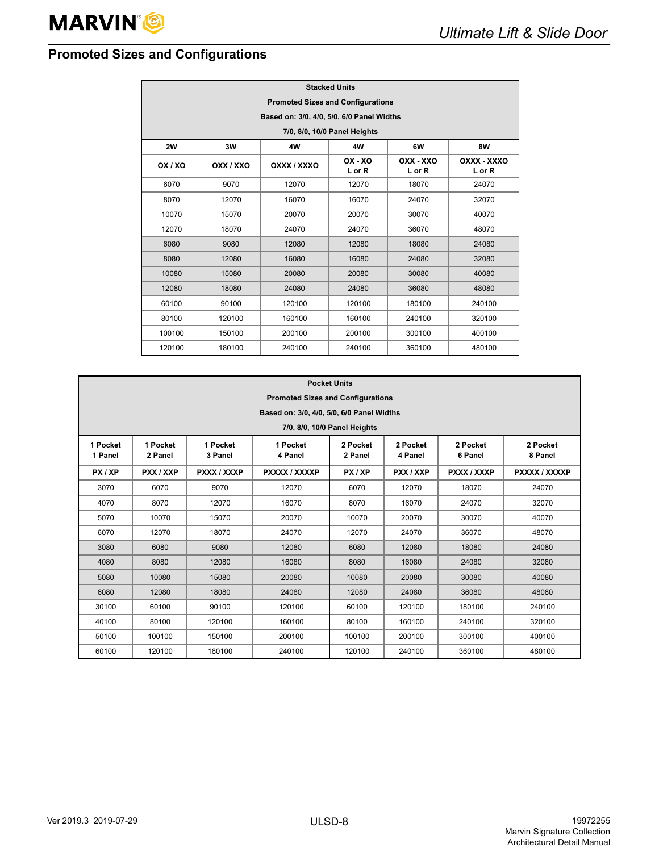# <span id="page-9-0"></span>**Promoted Sizes and Configurations**

|         | <b>Stacked Units</b>                      |             |                         |                     |                       |  |  |  |  |  |
|---------|-------------------------------------------|-------------|-------------------------|---------------------|-----------------------|--|--|--|--|--|
|         | <b>Promoted Sizes and Configurations</b>  |             |                         |                     |                       |  |  |  |  |  |
|         | Based on: 3/0, 4/0, 5/0, 6/0 Panel Widths |             |                         |                     |                       |  |  |  |  |  |
|         | 7/0, 8/0, 10/0 Panel Heights              |             |                         |                     |                       |  |  |  |  |  |
| 2W      | <b>8W</b><br>3W<br>4W<br>4W<br>6W         |             |                         |                     |                       |  |  |  |  |  |
| OX / XO | OXX / XXO                                 | OXXX / XXXO | $OX - XO$<br>$L$ or $R$ | OXX - XXO<br>L or R | OXXX - XXXO<br>L or R |  |  |  |  |  |
| 6070    | 9070                                      | 12070       | 12070                   | 18070               | 24070                 |  |  |  |  |  |
| 8070    | 12070                                     | 16070       | 16070                   | 24070               | 32070                 |  |  |  |  |  |
| 10070   | 15070                                     | 20070       | 20070                   | 30070               | 40070                 |  |  |  |  |  |
| 12070   | 18070                                     | 24070       | 24070                   | 36070               | 48070                 |  |  |  |  |  |
| 6080    | 9080                                      | 12080       | 12080                   | 18080               | 24080                 |  |  |  |  |  |
| 8080    | 12080                                     | 16080       | 16080                   | 24080               | 32080                 |  |  |  |  |  |
| 10080   | 15080                                     | 20080       | 20080                   | 30080               | 40080                 |  |  |  |  |  |
| 12080   | 18080                                     | 24080       | 24080                   | 36080               | 48080                 |  |  |  |  |  |
| 60100   | 90100                                     | 120100      | 120100                  | 180100              | 240100                |  |  |  |  |  |
| 80100   | 120100                                    | 160100      | 160100                  | 240100              | 320100                |  |  |  |  |  |
| 100100  | 150100                                    | 200100      | 200100                  | 300100              | 400100                |  |  |  |  |  |
| 120100  | 180100                                    | 240100      | 240100                  | 360100              | 480100                |  |  |  |  |  |

|                     | <b>Pocket Units</b>                       |                     |                     |                     |                     |                     |                     |  |  |
|---------------------|-------------------------------------------|---------------------|---------------------|---------------------|---------------------|---------------------|---------------------|--|--|
|                     | <b>Promoted Sizes and Configurations</b>  |                     |                     |                     |                     |                     |                     |  |  |
|                     | Based on: 3/0, 4/0, 5/0, 6/0 Panel Widths |                     |                     |                     |                     |                     |                     |  |  |
|                     | 7/0, 8/0, 10/0 Panel Heights              |                     |                     |                     |                     |                     |                     |  |  |
| 1 Pocket<br>1 Panel | 1 Pocket<br>2 Panel                       | 1 Pocket<br>3 Panel | 1 Pocket<br>4 Panel | 2 Pocket<br>2 Panel | 2 Pocket<br>4 Panel | 2 Pocket<br>6 Panel | 2 Pocket<br>8 Panel |  |  |
| PX/XP               | PXX / XXP                                 | PXXX / XXXP         | PXXXX / XXXXP       | PX/XP               | PXX / XXP           | PXXX / XXXP         | PXXXX / XXXXP       |  |  |
| 3070                | 6070                                      | 9070                | 12070               | 6070                | 12070               | 18070               | 24070               |  |  |
| 4070                | 8070                                      | 12070               | 16070               | 8070                | 16070               | 24070               | 32070               |  |  |
| 5070                | 10070                                     | 15070               | 20070               | 10070               | 20070               | 30070               | 40070               |  |  |
| 6070                | 12070                                     | 18070               | 24070               | 12070               | 24070               | 36070               | 48070               |  |  |
| 3080                | 6080                                      | 9080                | 12080               | 6080                | 12080               | 18080               | 24080               |  |  |
| 4080                | 8080                                      | 12080               | 16080               | 8080                | 16080               | 24080               | 32080               |  |  |
| 5080                | 10080                                     | 15080               | 20080               | 10080               | 20080               | 30080               | 40080               |  |  |
| 6080                | 12080                                     | 18080               | 24080               | 12080               | 24080               | 36080               | 48080               |  |  |
| 30100               | 60100                                     | 90100               | 120100              | 60100               | 120100              | 180100              | 240100              |  |  |
| 40100               | 80100                                     | 120100              | 160100              | 80100               | 160100              | 240100              | 320100              |  |  |
| 50100               | 100100                                    | 150100              | 200100              | 100100              | 200100              | 300100              | 400100              |  |  |
| 60100               | 120100                                    | 180100              | 240100              | 120100              | 240100              | 360100              | 480100              |  |  |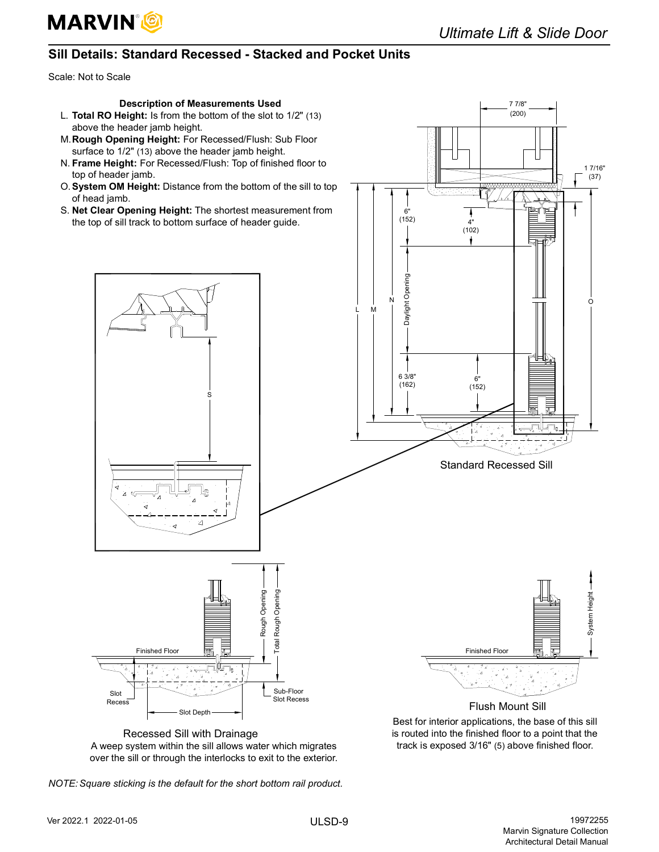

7 7/8" (200)

## <span id="page-10-0"></span>**Sill Details: Standard Recessed - Stacked and Pocket Units**

Scale: Not to Scale

## **Description of Measurements Used**

- L. **Total RO Height:** Is from the bottom of the slot to 1/2" (13) above the header jamb height.
- M.**Rough Opening Height:** For Recessed/Flush: Sub Floor surface to 1/2" (13) above the header jamb height.
- N. **Frame Height:** For Recessed/Flush: Top of finished floor to top of header jamb.
- O.**System OM Height:** Distance from the bottom of the sill to top of head jamb.
- S. **Net Clear Opening Height:** The shortest measurement from the top of sill track to bottom surface of header guide.



Best for interior applications, the base of this sill is routed into the finished floor to a point that the track is exposed 3/16" (5) above finished floor.

Recessed Sill with Drainage A weep system within the sill allows water which migrates over the sill or through the interlocks to exit to the exterior.

*NOTE: Square sticking is the default for the short bottom rail product.*

Slot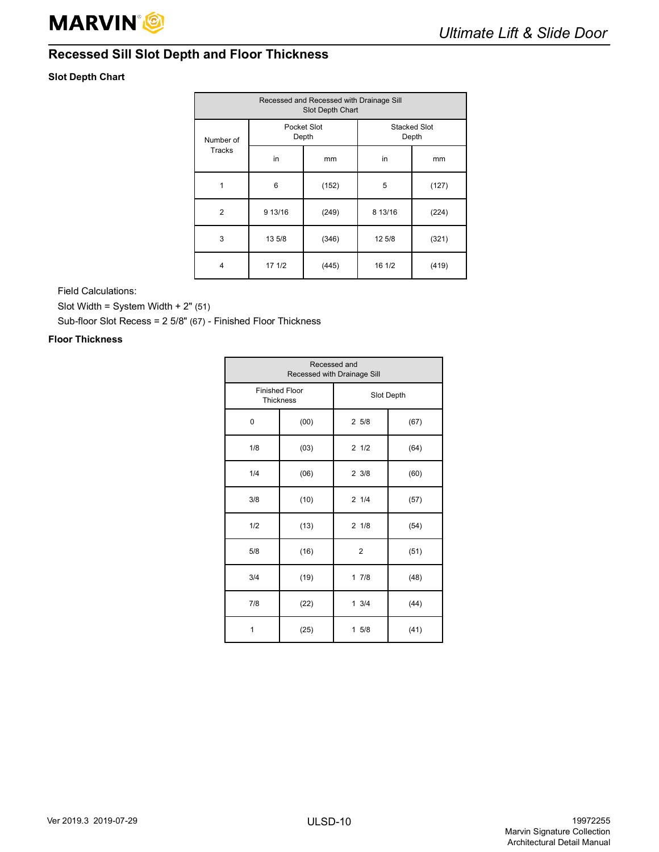

# <span id="page-11-0"></span>**Recessed Sill Slot Depth and Floor Thickness**

## **Slot Depth Chart**

| Recessed and Recessed with Drainage Sill<br>Slot Depth Chart |         |                      |                              |       |  |  |  |  |
|--------------------------------------------------------------|---------|----------------------|------------------------------|-------|--|--|--|--|
| Number of                                                    |         | Pocket Slot<br>Depth | <b>Stacked Slot</b><br>Depth |       |  |  |  |  |
| Tracks                                                       | in      | mm                   | in                           | mm    |  |  |  |  |
| 1                                                            | 6       | (152)                | 5                            | (127) |  |  |  |  |
| $\overline{2}$                                               | 9 13/16 | (249)                | 8 13/16                      | (224) |  |  |  |  |
| 3                                                            | 13 5/8  | (346)                | 12 5/8                       | (321) |  |  |  |  |
| 4                                                            | 17 1/2  | (445)                | 16 1/2                       | (419) |  |  |  |  |

Field Calculations:

Slot Width = System Width +  $2"$  (51)

Sub-floor Slot Recess = 2 5/8" (67) - Finished Floor Thickness

## **Floor Thickness**

| Recessed and<br>Recessed with Drainage Sill |                                           |                 |      |  |  |  |  |
|---------------------------------------------|-------------------------------------------|-----------------|------|--|--|--|--|
|                                             | <b>Finished Floor</b><br><b>Thickness</b> | Slot Depth      |      |  |  |  |  |
| 0                                           | (00)                                      | 25/8            | (67) |  |  |  |  |
| 1/8                                         | (03)                                      | 21/2            | (64) |  |  |  |  |
| 1/4                                         | (06)                                      | $2 \frac{3}{8}$ | (60) |  |  |  |  |
| 3/8                                         | (10)                                      | 21/4            | (57) |  |  |  |  |
| 1/2                                         | (13)                                      | $2 \frac{1}{8}$ | (54) |  |  |  |  |
| 5/8                                         | (16)                                      | $\overline{2}$  | (51) |  |  |  |  |
| 3/4                                         | (19)                                      | 17/8            | (48) |  |  |  |  |
| 7/8                                         | (22)                                      | $1 \t3/4$       | (44) |  |  |  |  |
| 1                                           | (25)                                      | 15/8            | (41) |  |  |  |  |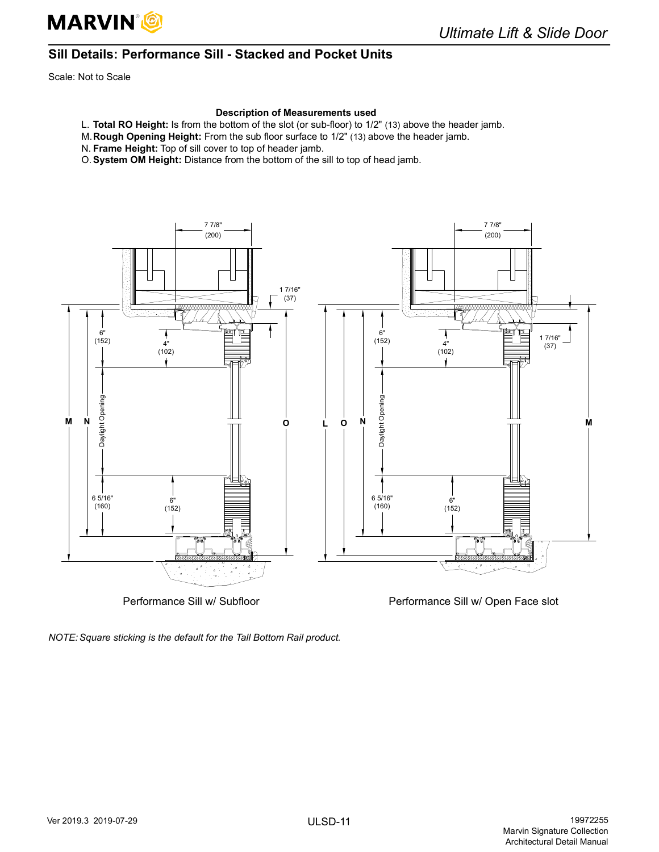

# <span id="page-12-0"></span>**Sill Details: Performance Sill - Stacked and Pocket Units**

Scale: Not to Scale

#### **Description of Measurements used**

- L. **Total RO Height:** Is from the bottom of the slot (or sub-floor) to 1/2" (13) above the header jamb.
- M.**Rough Opening Height:** From the sub floor surface to 1/2" (13) above the header jamb.
- N. **Frame Height:** Top of sill cover to top of header jamb.
- O.**System OM Height:** Distance from the bottom of the sill to top of head jamb.



Performance Sill w/ Subfloor Performance Sill w/ Open Face slot

*NOTE: Square sticking is the default for the Tall Bottom Rail product.*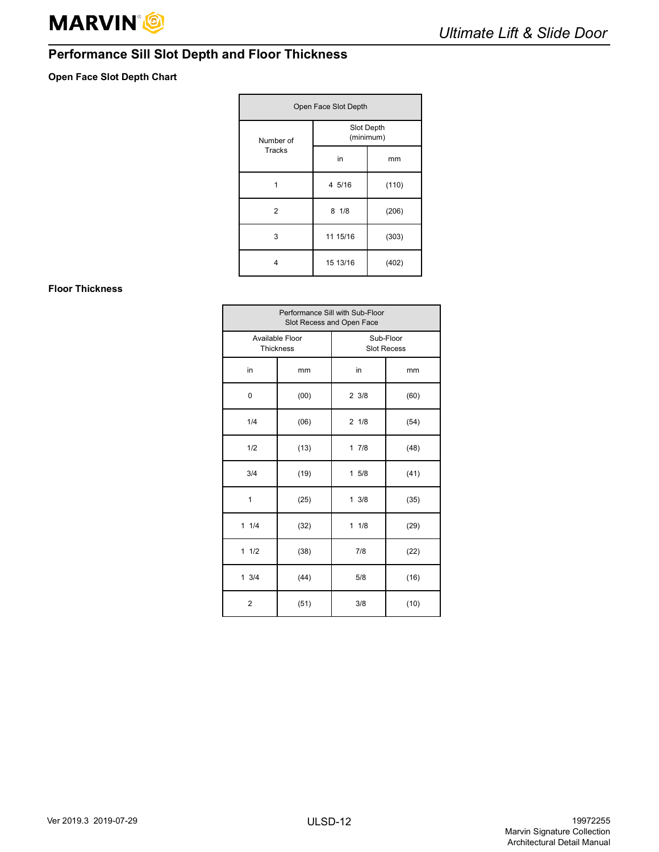# <span id="page-13-0"></span>**Performance Sill Slot Depth and Floor Thickness**

## **Open Face Slot Depth Chart**

| Open Face Slot Depth |          |                         |  |  |  |
|----------------------|----------|-------------------------|--|--|--|
| Number of            |          | Slot Depth<br>(minimum) |  |  |  |
| Tracks               | in       | mm                      |  |  |  |
|                      | 4 5/16   | (110)                   |  |  |  |
| $\overline{2}$       | 81/8     | (206)                   |  |  |  |
| 3                    | 11 15/16 | (303)                   |  |  |  |
| 4                    | 15 13/16 | (402)                   |  |  |  |

## **Floor Thickness**

| Performance Sill with Sub-Floor<br>Slot Recess and Open Face |      |                                 |      |
|--------------------------------------------------------------|------|---------------------------------|------|
| Available Floor<br><b>Thickness</b>                          |      | Sub-Floor<br><b>Slot Recess</b> |      |
| in                                                           | mm   | in                              | mm   |
| 0                                                            | (00) | $2 \frac{3}{8}$                 | (60) |
| 1/4                                                          | (06) | 21/8                            | (54) |
| 1/2                                                          | (13) | 17/8                            | (48) |
| 3/4                                                          | (19) | 15/8                            | (41) |
| 1                                                            | (25) | 13/8                            | (35) |
| 11/4                                                         | (32) | 11/8                            | (29) |
| 11/2                                                         | (38) | 7/8                             | (22) |
| $1 \frac{3}{4}$                                              | (44) | 5/8                             | (16) |
| $\overline{2}$                                               | (51) | 3/8                             | (10) |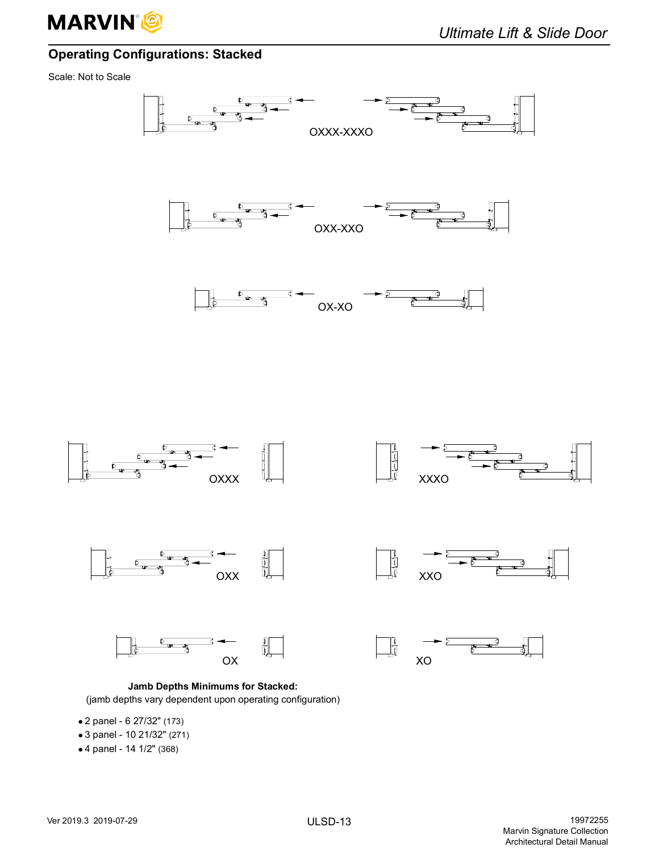

# <span id="page-14-0"></span>**Operating Configurations: Stacked**

Scale: Not to Scale



**Jamb Depths Minimums for Stacked:** (jamb depths vary dependent upon operating configuration)

- 2 panel 6 27/32" (173)
- 3 panel 10 21/32" (271)
- 4 panel 14 1/2" (368)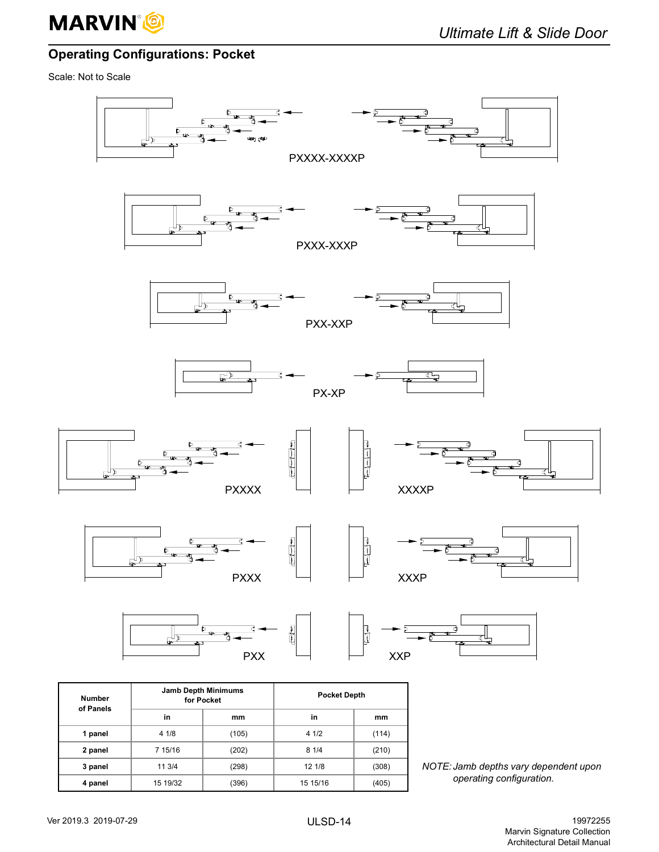

# <span id="page-15-0"></span>**Operating Configurations: Pocket**

Scale: Not to Scale

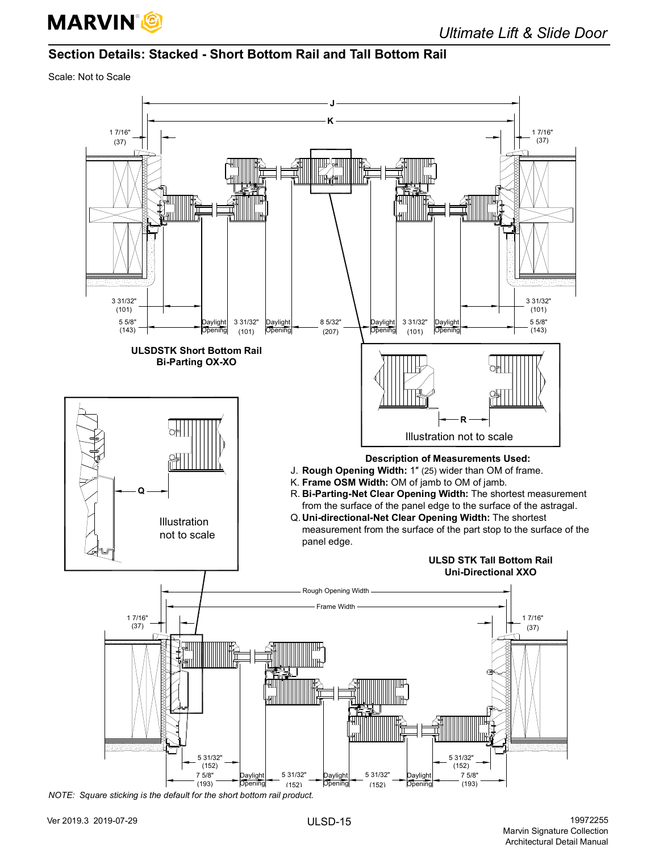

## <span id="page-16-0"></span>**Section Details: Stacked - Short Bottom Rail and Tall Bottom Rail**

Scale: Not to Scale

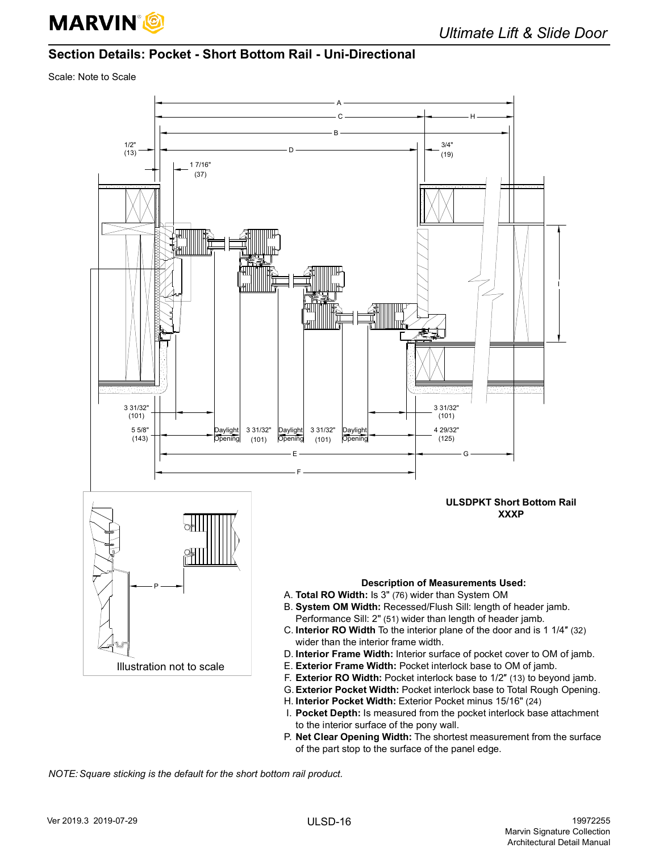

## <span id="page-17-0"></span>**Section Details: Pocket - Short Bottom Rail - Uni-Directional**

Scale: Note to Scale



- I. **Pocket Depth:** Is measured from the pocket interlock base attachment to the interior surface of the pony wall.
- P. **Net Clear Opening Width:** The shortest measurement from the surface of the part stop to the surface of the panel edge.

*NOTE: Square sticking is the default for the short bottom rail product.*